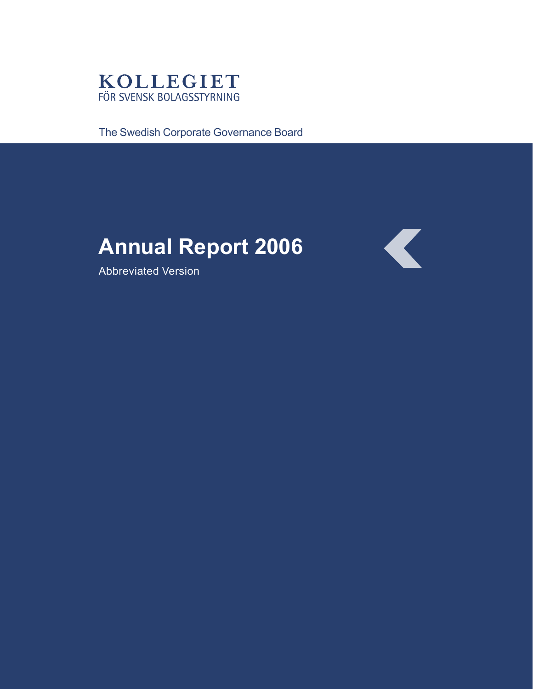

The Swedish Corporate Governance Board

# **Annual Report 2006**

Abbreviated Version

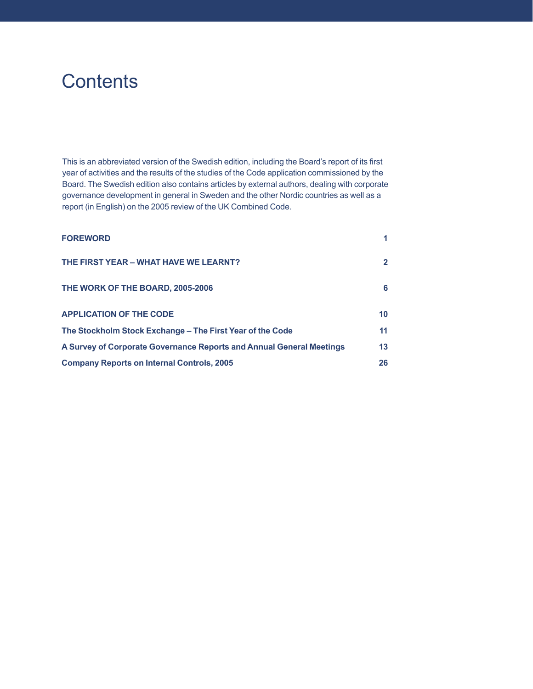# **Contents**

This is an abbreviated version of the Swedish edition, including the Board's report of its first year of activities and the results of the studies of the Code application commissioned by the Board. The Swedish edition also contains articles by external authors, dealing with corporate governance development in general in Sweden and the other Nordic countries as well as a report (in English) on the 2005 review of the UK Combined Code.

| <b>FOREWORD</b>                                                      |                 |
|----------------------------------------------------------------------|-----------------|
| THE FIRST YEAR - WHAT HAVE WE LEARNT?                                | $\mathbf{2}$    |
| THE WORK OF THE BOARD, 2005-2006                                     | 6               |
| <b>APPLICATION OF THE CODE</b>                                       | 10 <sup>°</sup> |
| The Stockholm Stock Exchange - The First Year of the Code            | 11              |
| A Survey of Corporate Governance Reports and Annual General Meetings | 13              |
| <b>Company Reports on Internal Controls, 2005</b>                    | 26              |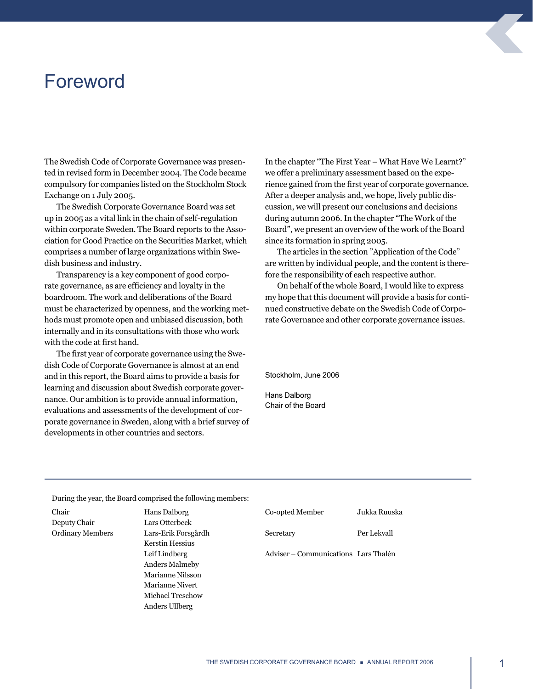# <span id="page-2-0"></span>Foreword

The Swedish Code of Corporate Governance was presented in revised form in December 2004. The Code became compulsory for companies listed on the Stockholm Stock Exchange on 1 July 2005.

The Swedish Corporate Governance Board was set up in 2005 as a vital link in the chain of self-regulation within corporate Sweden. The Board reports to the Association for Good Practice on the Securities Market, which comprises a number of large organizations within Swedish business and industry.

Transparency is a key component of good corporate governance, as are efficiency and loyalty in the boardroom. The work and deliberations of the Board must be characterized by openness, and the working methods must promote open and unbiased discussion, both internally and in its consultations with those who work with the code at first hand.

The first year of corporate governance using the Swedish Code of Corporate Governance is almost at an end and in this report, the Board aims to provide a basis for learning and discussion about Swedish corporate governance. Our ambition is to provide annual information, evaluations and assessments of the development of corporate governance in Sweden, along with a brief survey of developments in other countries and sectors.

In the chapter "The First Year – What Have We Learnt?" we offer a preliminary assessment based on the experience gained from the first year of corporate governance. After a deeper analysis and, we hope, lively public discussion, we will present our conclusions and decisions during autumn 2006. In the chapter "The Work of the Board", we present an overview of the work of the Board since its formation in spring 2005.

The articles in the section "Application of the Code" are written by individual people, and the content is therefore the responsibility of each respective author.

On behalf of the whole Board, I would like to express my hope that this document will provide a basis for continued constructive debate on the Swedish Code of Corporate Governance and other corporate governance issues.

Stockholm, June 2006

Hans Dalborg Chair of the Board

During the year, the Board comprised the following members:

| Chair                   | Hans Dalborg            | Co-opted Member                      | Jukka Ruuska |
|-------------------------|-------------------------|--------------------------------------|--------------|
| Deputy Chair            | Lars Otterbeck          |                                      |              |
| <b>Ordinary Members</b> | Lars-Erik Forsgårdh     | Secretary                            | Per Lekvall  |
|                         | <b>Kerstin Hessius</b>  |                                      |              |
|                         | Leif Lindberg           | Adviser – Communications Lars Thalén |              |
|                         | <b>Anders Malmeby</b>   |                                      |              |
|                         | Marianne Nilsson        |                                      |              |
|                         | Marianne Nivert         |                                      |              |
|                         | <b>Michael Treschow</b> |                                      |              |
|                         | Anders Ullberg          |                                      |              |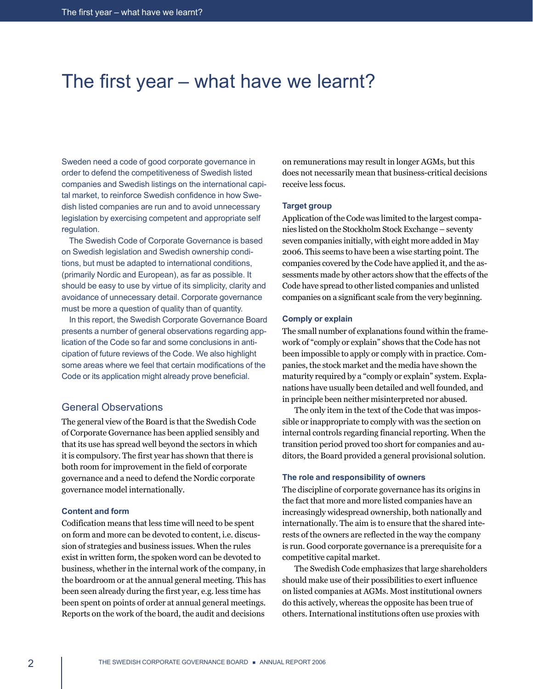# <span id="page-3-0"></span>The first year – what have we learnt?

Sweden need a code of good corporate governance in order to defend the competitiveness of Swedish listed companies and Swedish listings on the international capital market, to reinforce Swedish confidence in how Swedish listed companies are run and to avoid unnecessary legislation by exercising competent and appropriate self regulation.

 The Swedish Code of Corporate Governance is based on Swedish legislation and Swedish ownership conditions, but must be adapted to international conditions, (primarily Nordic and European), as far as possible. It should be easy to use by virtue of its simplicity, clarity and avoidance of unnecessary detail. Corporate governance must be more a question of quality than of quantity.

 In this report, the Swedish Corporate Governance Board presents a number of general observations regarding application of the Code so far and some conclusions in anticipation of future reviews of the Code. We also highlight some areas where we feel that certain modifications of the Code or its application might already prove beneficial.

# General Observations

The general view of the Board is that the Swedish Code of Corporate Governance has been applied sensibly and that its use has spread well beyond the sectors in which it is compulsory. The first year has shown that there is both room for improvement in the field of corporate governance and a need to defend the Nordic corporate governance model internationally.

#### **Content and form**

Codification means that less time will need to be spent on form and more can be devoted to content, i.e. discussion of strategies and business issues. When the rules exist in written form, the spoken word can be devoted to business, whether in the internal work of the company, in the boardroom or at the annual general meeting. This has been seen already during the first year, e.g. less time has been spent on points of order at annual general meetings. Reports on the work of the board, the audit and decisions on remunerations may result in longer AGMs, but this does not necessarily mean that business-critical decisions receive less focus.

#### **Target group**

Application of the Code was limited to the largest companies listed on the Stockholm Stock Exchange – seventy seven companies initially, with eight more added in May 2006. This seems to have been a wise starting point. The companies covered by the Code have applied it, and the assessments made by other actors show that the effects of the Code have spread to other listed companies and unlisted companies on a significant scale from the very beginning.

#### **Comply or explain**

The small number of explanations found within the framework of "comply or explain" shows that the Code has not been impossible to apply or comply with in practice. Companies, the stock market and the media have shown the maturity required by a "comply or explain" system. Explanations have usually been detailed and well founded, and in principle been neither misinterpreted nor abused.

The only item in the text of the Code that was impossible or inappropriate to comply with was the section on internal controls regarding financial reporting. When the transition period proved too short for companies and auditors, the Board provided a general provisional solution.

#### **The role and responsibility of owners**

The discipline of corporate governance has its origins in the fact that more and more listed companies have an increasingly widespread ownership, both nationally and internationally. The aim is to ensure that the shared interests of the owners are reflected in the way the company is run. Good corporate governance is a prerequisite for a competitive capital market.

The Swedish Code emphasizes that large shareholders should make use of their possibilities to exert influence on listed companies at AGMs. Most institutional owners do this actively, whereas the opposite has been true of others. International institutions often use proxies with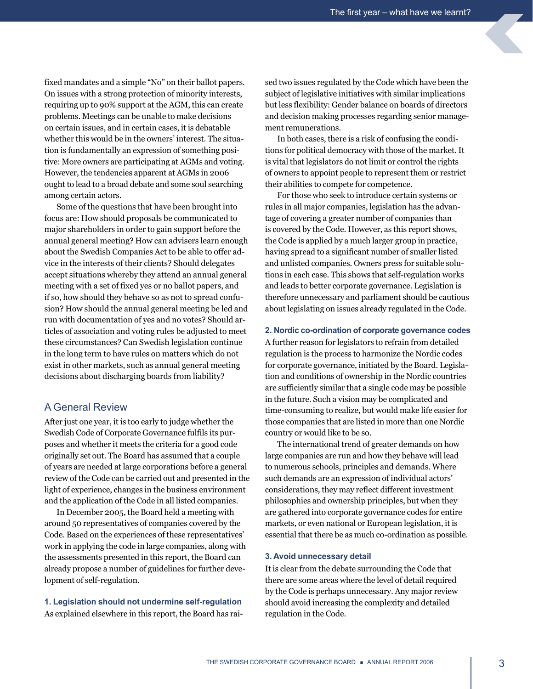fixed mandates and a simple "No" on their ballot papers. On issues with a strong protection of minority interests, requiring up to 90% support at the AGM, this can create problems. Meetings can be unable to make decisions on certain issues, and in certain cases, it is debatable whether this would be in the owners' interest. The situation is fundamentally an expression of something positive: More owners are participating at AGMs and voting. However, the tendencies apparent at AGMs in 2006 ought to lead to a broad debate and some soul searching among certain actors.

Some of the questions that have been brought into focus are: How should proposals be communicated to major shareholders in order to gain support before the annual general meeting? How can advisers learn enough about the Swedish Companies Act to be able to offer advice in the interests of their clients? Should delegates accept situations whereby they attend an annual general meeting with a set of fixed yes or no ballot papers, and if so, how should they behave so as not to spread confusion? How should the annual general meeting be led and run with documentation of yes and no votes? Should articles of association and voting rules be adjusted to meet these circumstances? Can Swedish legislation continue in the long term to have rules on matters which do not exist in other markets, such as annual general meeting decisions about discharging boards from liability?

# A General Review

After just one year, it is too early to judge whether the Swedish Code of Corporate Governance fulfils its purposes and whether it meets the criteria for a good code originally set out. The Board has assumed that a couple of years are needed at large corporations before a general review of the Code can be carried out and presented in the light of experience, changes in the business environment and the application of the Code in all listed companies.

In December 2005, the Board held a meeting with around 50 representatives of companies covered by the Code. Based on the experiences of these representatives' work in applying the code in large companies, along with the assessments presented in this report, the Board can already propose a number of guidelines for further development of self-regulation.

**1. Legislation should not undermine self-regulation**  As explained elsewhere in this report, the Board has raised two issues regulated by the Code which have been the subject of legislative initiatives with similar implications but less flexibility: Gender balance on boards of directors and decision making processes regarding senior management remunerations.

In both cases, there is a risk of confusing the conditions for political democracy with those of the market. It is vital that legislators do not limit or control the rights of owners to appoint people to represent them or restrict their abilities to compete for competence.

For those who seek to introduce certain systems or rules in all major companies, legislation has the advantage of covering a greater number of companies than is covered by the Code. However, as this report shows, the Code is applied by a much larger group in practice, having spread to a significant number of smaller listed and unlisted companies. Owners press for suitable solutions in each case. This shows that self-regulation works and leads to better corporate governance. Legislation is therefore unnecessary and parliament should be cautious about legislating on issues already regulated in the Code.

#### **2. Nordic co-ordination of corporate governance codes**

A further reason for legislators to refrain from detailed regulation is the process to harmonize the Nordic codes for corporate governance, initiated by the Board. Legislation and conditions of ownership in the Nordic countries are sufficiently similar that a single code may be possible in the future. Such a vision may be complicated and time-consuming to realize, but would make life easier for those companies that are listed in more than one Nordic country or would like to be so.

The international trend of greater demands on how large companies are run and how they behave will lead to numerous schools, principles and demands. Where such demands are an expression of individual actors' considerations, they may reflect different investment philosophies and ownership principles, but when they are gathered into corporate governance codes for entire markets, or even national or European legislation, it is essential that there be as much co-ordination as possible.

#### **3. Avoid unnecessary detail**

It is clear from the debate surrounding the Code that there are some areas where the level of detail required by the Code is perhaps unnecessary. Any major review should avoid increasing the complexity and detailed regulation in the Code.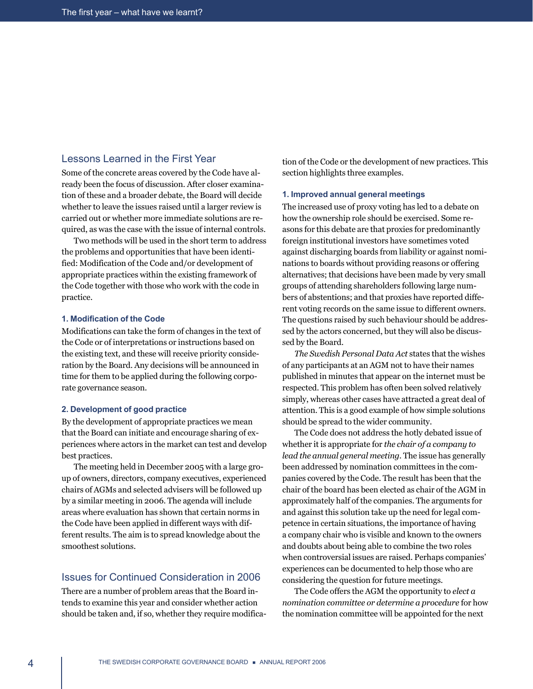# Lessons Learned in the First Year

Some of the concrete areas covered by the Code have already been the focus of discussion. After closer examination of these and a broader debate, the Board will decide whether to leave the issues raised until a larger review is carried out or whether more immediate solutions are required, as was the case with the issue of internal controls.

Two methods will be used in the short term to address the problems and opportunities that have been identified: Modification of the Code and/or development of appropriate practices within the existing framework of the Code together with those who work with the code in practice.

#### **1. Modification of the Code**

Modifications can take the form of changes in the text of the Code or of interpretations or instructions based on the existing text, and these will receive priority consideration by the Board. Any decisions will be announced in time for them to be applied during the following corporate governance season.

#### **2. Development of good practice**

By the development of appropriate practices we mean that the Board can initiate and encourage sharing of experiences where actors in the market can test and develop best practices.

The meeting held in December 2005 with a large group of owners, directors, company executives, experienced chairs of AGMs and selected advisers will be followed up by a similar meeting in 2006. The agenda will include areas where evaluation has shown that certain norms in the Code have been applied in different ways with different results. The aim is to spread knowledge about the smoothest solutions.

# Issues for Continued Consideration in 2006

There are a number of problem areas that the Board intends to examine this year and consider whether action should be taken and, if so, whether they require modification of the Code or the development of new practices. This section highlights three examples.

#### **1. Improved annual general meetings**

The increased use of proxy voting has led to a debate on how the ownership role should be exercised. Some reasons for this debate are that proxies for predominantly foreign institutional investors have sometimes voted against discharging boards from liability or against nominations to boards without providing reasons or offering alternatives; that decisions have been made by very small groups of attending shareholders following large numbers of abstentions; and that proxies have reported different voting records on the same issue to different owners. The questions raised by such behaviour should be addressed by the actors concerned, but they will also be discussed by the Board.

*The Swedish Personal Data Act* states that the wishes of any participants at an AGM not to have their names published in minutes that appear on the internet must be respected. This problem has often been solved relatively simply, whereas other cases have attracted a great deal of attention. This is a good example of how simple solutions should be spread to the wider community.

The Code does not address the hotly debated issue of whether it is appropriate for *the chair of a company to lead the annual general meeting*. The issue has generally been addressed by nomination committees in the companies covered by the Code. The result has been that the chair of the board has been elected as chair of the AGM in approximately half of the companies. The arguments for and against this solution take up the need for legal competence in certain situations, the importance of having a company chair who is visible and known to the owners and doubts about being able to combine the two roles when controversial issues are raised. Perhaps companies' experiences can be documented to help those who are considering the question for future meetings.

The Code offers the AGM the opportunity to *elect a nomination committee or determine a procedure* for how the nomination committee will be appointed for the next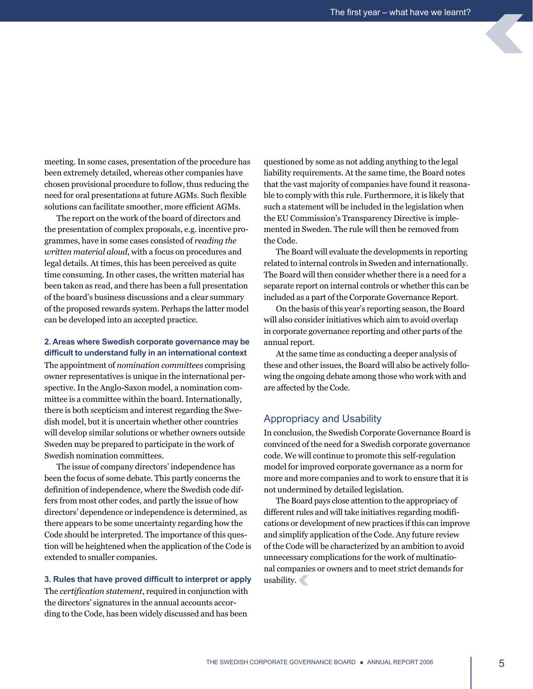meeting. In some cases, presentation of the procedure has been extremely detailed, whereas other companies have chosen provisional procedure to follow, thus reducing the need for oral presentations at future AGMs. Such flexible solutions can facilitate smoother, more efficient AGMs.

The report on the work of the board of directors and the presentation of complex proposals, e.g. incentive programmes, have in some cases consisted of *reading the written material aloud*, with a focus on procedures and legal details. At times, this has been perceived as quite time consuming. In other cases, the written material has been taken as read, and there has been a full presentation of the board's business discussions and a clear summary of the proposed rewards system. Perhaps the latter model can be developed into an accepted practice.

### **2. Areas where Swedish corporate governance may be difficult to understand fully in an international context**

The appointment of *nomination committees* comprising owner representatives is unique in the international perspective. In the Anglo-Saxon model, a nomination committee is a committee within the board. Internationally, there is both scepticism and interest regarding the Swedish model, but it is uncertain whether other countries will develop similar solutions or whether owners outside Sweden may be prepared to participate in the work of Swedish nomination committees.

The issue of company directors' independence has been the focus of some debate. This partly concerns the definition of independence, where the Swedish code differs from most other codes, and partly the issue of how directors' dependence or independence is determined, as there appears to be some uncertainty regarding how the Code should be interpreted. The importance of this question will be heightened when the application of the Code is extended to smaller companies.

#### **3. Rules that have proved difficult to interpret or apply**

The *certification statement*, required in conjunction with the directors' signatures in the annual accounts according to the Code, has been widely discussed and has been

questioned by some as not adding anything to the legal liability requirements. At the same time, the Board notes that the vast majority of companies have found it reasonable to comply with this rule. Furthermore, it is likely that such a statement will be included in the legislation when the EU Commission's Transparency Directive is implemented in Sweden. The rule will then be removed from the Code.

The Board will evaluate the developments in reporting related to internal controls in Sweden and internationally. The Board will then consider whether there is a need for a separate report on internal controls or whether this can be included as a part of the Corporate Governance Report.

On the basis of this year's reporting season, the Board will also consider initiatives which aim to avoid overlap in corporate governance reporting and other parts of the annual report.

At the same time as conducting a deeper analysis of these and other issues, the Board will also be actively following the ongoing debate among those who work with and are affected by the Code.

# Appropriacy and Usability

In conclusion, the Swedish Corporate Governance Board is convinced of the need for a Swedish corporate governance code. We will continue to promote this self-regulation model for improved corporate governance as a norm for more and more companies and to work to ensure that it is not undermined by detailed legislation.

The Board pays close attention to the appropriacy of different rules and will take initiatives regarding modifications or development of new practices if this can improve and simplify application of the Code. Any future review of the Code will be characterized by an ambition to avoid unnecessary complications for the work of multinational companies or owners and to meet strict demands for usability.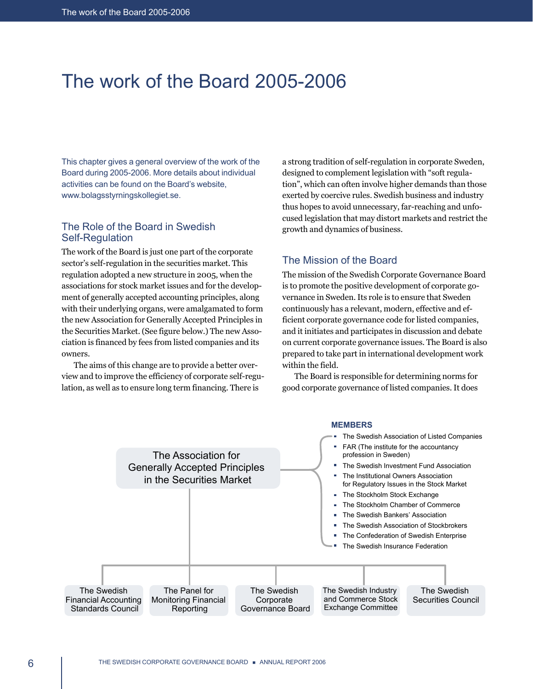# <span id="page-7-0"></span>The work of the Board 2005-2006

This chapter gives a general overview of the work of the Board during 2005-2006. More details about individual activities can be found on the Board's website, www.bolagsstyrningskollegiet.se.

# The Role of the Board in Swedish Self-Regulation

The work of the Board is just one part of the corporate sector's self-regulation in the securities market. This regulation adopted a new structure in 2005, when the associations for stock market issues and for the development of generally accepted accounting principles, along with their underlying organs, were amalgamated to form the new Association for Generally Accepted Principles in the Securities Market. (See figure below.) The new Association is financed by fees from listed companies and its owners.

The aims of this change are to provide a better overview and to improve the efficiency of corporate self-regulation, as well as to ensure long term financing. There is

a strong tradition of self-regulation in corporate Sweden, designed to complement legislation with "soft regulation", which can often involve higher demands than those exerted by coercive rules. Swedish business and industry thus hopes to avoid unnecessary, far-reaching and unfocused legislation that may distort markets and restrict the growth and dynamics of business.

# The Mission of the Board

The mission of the Swedish Corporate Governance Board is to promote the positive development of corporate governance in Sweden. Its role is to ensure that Sweden continuously has a relevant, modern, effective and efficient corporate governance code for listed companies, and it initiates and participates in discussion and debate on current corporate governance issues. The Board is also prepared to take part in international development work within the field.

The Board is responsible for determining norms for good corporate governance of listed companies. It does

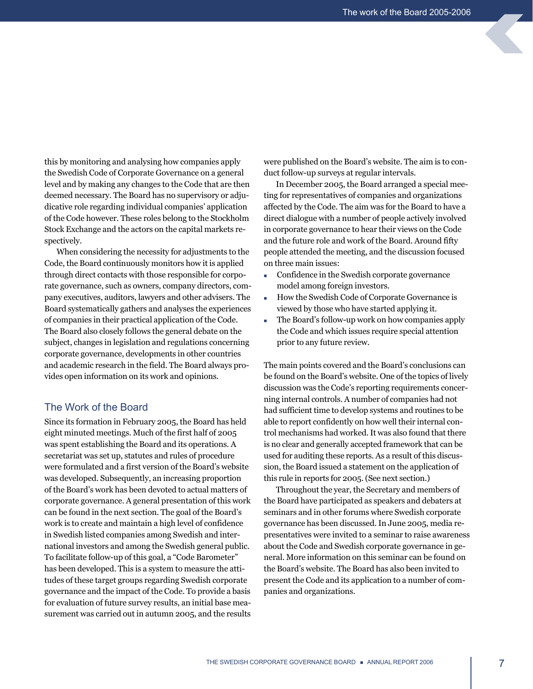this by monitoring and analysing how companies apply the Swedish Code of Corporate Governance on a general level and by making any changes to the Code that are then deemed necessary. The Board has no supervisory or adjudicative role regarding individual companies' application of the Code however. These roles belong to the Stockholm Stock Exchange and the actors on the capital markets respectively.

When considering the necessity for adjustments to the Code, the Board continuously monitors how it is applied through direct contacts with those responsible for corporate governance, such as owners, company directors, company executives, auditors, lawyers and other advisers. The Board systematically gathers and analyses the experiences of companies in their practical application of the Code. The Board also closely follows the general debate on the subject, changes in legislation and regulations concerning corporate governance, developments in other countries and academic research in the field. The Board always provides open information on its work and opinions.

# The Work of the Board

Since its formation in February 2005, the Board has held eight minuted meetings. Much of the first half of 2005 was spent establishing the Board and its operations. A secretariat was set up, statutes and rules of procedure were formulated and a first version of the Board's website was developed. Subsequently, an increasing proportion of the Board's work has been devoted to actual matters of corporate governance. A general presentation of this work can be found in the next section. The goal of the Board's work is to create and maintain a high level of confidence in Swedish listed companies among Swedish and international investors and among the Swedish general public. To facilitate follow-up of this goal, a "Code Barometer" has been developed. This is a system to measure the attitudes of these target groups regarding Swedish corporate governance and the impact of the Code. To provide a basis for evaluation of future survey results, an initial base measurement was carried out in autumn 2005, and the results were published on the Board's website. The aim is to conduct follow-up surveys at regular intervals.

In December 2005, the Board arranged a special meeting for representatives of companies and organizations affected by the Code. The aim was for the Board to have a direct dialogue with a number of people actively involved in corporate governance to hear their views on the Code and the future role and work of the Board. Around fifty people attended the meeting, and the discussion focused on three main issues:

- Confidence in the Swedish corporate governance model among foreign investors.
- <sup>n</sup> How the Swedish Code of Corporate Governance is viewed by those who have started applying it.
- The Board's follow-up work on how companies apply the Code and which issues require special attention prior to any future review.

The main points covered and the Board's conclusions can be found on the Board's website. One of the topics of lively discussion was the Code's reporting requirements concerning internal controls. A number of companies had not had sufficient time to develop systems and routines to be able to report confidently on how well their internal control mechanisms had worked. It was also found that there is no clear and generally accepted framework that can be used for auditing these reports. As a result of this discussion, the Board issued a statement on the application of this rule in reports for 2005. (See next section.)

Throughout the year, the Secretary and members of the Board have participated as speakers and debaters at seminars and in other forums where Swedish corporate governance has been discussed. In June 2005, media representatives were invited to a seminar to raise awareness about the Code and Swedish corporate governance in general. More information on this seminar can be found on the Board's website. The Board has also been invited to present the Code and its application to a number of companies and organizations.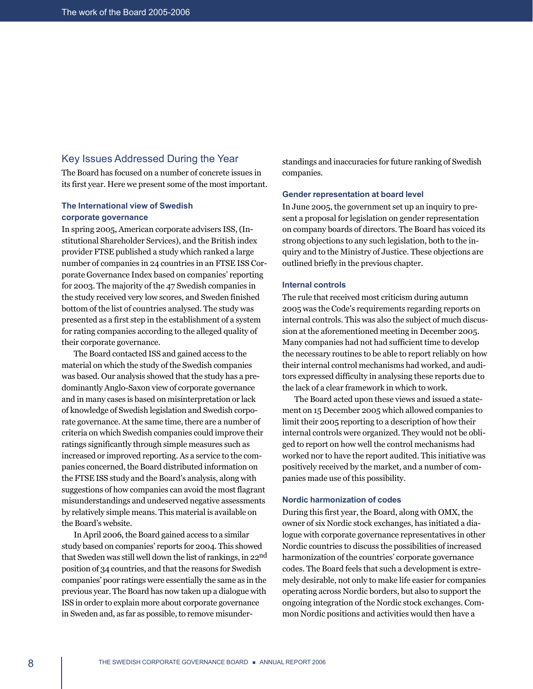# Key Issues Addressed During the Year

The Board has focused on a number of concrete issues in its first year. Here we present some of the most important.

# **The International view of Swedish corporate governance**

In spring 2005, American corporate advisers ISS, (Institutional Shareholder Services), and the British index provider FTSE published a study which ranked a large number of companies in 24 countries in an FTSE ISS Corporate Governance Index based on companies' reporting for 2003. The majority of the 47 Swedish companies in the study received very low scores, and Sweden finished bottom of the list of countries analysed. The study was presented as a first step in the establishment of a system for rating companies according to the alleged quality of their corporate governance.

The Board contacted ISS and gained access to the material on which the study of the Swedish companies was based. Our analysis showed that the study has a predominantly Anglo-Saxon view of corporate governance and in many cases is based on misinterpretation or lack of knowledge of Swedish legislation and Swedish corporate governance. At the same time, there are a number of criteria on which Swedish companies could improve their ratings significantly through simple measures such as increased or improved reporting. As a service to the companies concerned, the Board distributed information on the FTSE ISS study and the Board's analysis, along with suggestions of how companies can avoid the most flagrant misunderstandings and undeserved negative assessments by relatively simple means. This material is available on the Board's website.

In April 2006, the Board gained access to a similar study based on companies' reports for 2004. This showed that Sweden was still well down the list of rankings, in 22nd position of 34 countries, and that the reasons for Swedish companies' poor ratings were essentially the same as in the previous year. The Board has now taken up a dialogue with ISS in order to explain more about corporate governance in Sweden and, as far as possible, to remove misunderstandings and inaccuracies for future ranking of Swedish companies.

### **Gender representation at board level**

In June 2005, the government set up an inquiry to present a proposal for legislation on gender representation on company boards of directors. The Board has voiced its strong objections to any such legislation, both to the inquiry and to the Ministry of Justice. These objections are outlined briefly in the previous chapter.

#### **Internal controls**

The rule that received most criticism during autumn 2005 was the Code's requirements regarding reports on internal controls. This was also the subject of much discussion at the aforementioned meeting in December 2005. Many companies had not had sufficient time to develop the necessary routines to be able to report reliably on how their internal control mechanisms had worked, and auditors expressed difficulty in analysing these reports due to the lack of a clear framework in which to work.

The Board acted upon these views and issued a statement on 15 December 2005 which allowed companies to limit their 2005 reporting to a description of how their internal controls were organized. They would not be obliged to report on how well the control mechanisms had worked nor to have the report audited. This initiative was positively received by the market, and a number of companies made use of this possibility.

#### **Nordic harmonization of codes**

During this first year, the Board, along with OMX, the owner of six Nordic stock exchanges, has initiated a dialogue with corporate governance representatives in other Nordic countries to discuss the possibilities of increased harmonization of the countries' corporate governance codes. The Board feels that such a development is extremely desirable, not only to make life easier for companies operating across Nordic borders, but also to support the ongoing integration of the Nordic stock exchanges. Common Nordic positions and activities would then have a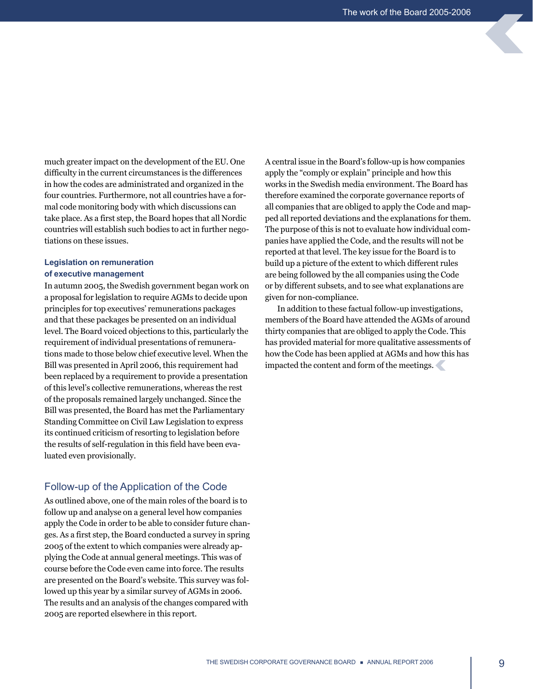much greater impact on the development of the EU. One difficulty in the current circumstances is the differences in how the codes are administrated and organized in the four countries. Furthermore, not all countries have a formal code monitoring body with which discussions can take place. As a first step, the Board hopes that all Nordic countries will establish such bodies to act in further negotiations on these issues.

### **Legislation on remuneration of executive management**

In autumn 2005, the Swedish government began work on a proposal for legislation to require AGMs to decide upon principles for top executives' remunerations packages and that these packages be presented on an individual level. The Board voiced objections to this, particularly the requirement of individual presentations of remunerations made to those below chief executive level. When the Bill was presented in April 2006, this requirement had been replaced by a requirement to provide a presentation of this level's collective remunerations, whereas the rest of the proposals remained largely unchanged. Since the Bill was presented, the Board has met the Parliamentary Standing Committee on Civil Law Legislation to express its continued criticism of resorting to legislation before the results of self-regulation in this field have been evaluated even provisionally.

# Follow-up of the Application of the Code

As outlined above, one of the main roles of the board is to follow up and analyse on a general level how companies apply the Code in order to be able to consider future changes. As a first step, the Board conducted a survey in spring 2005 of the extent to which companies were already applying the Code at annual general meetings. This was of course before the Code even came into force. The results are presented on the Board's website. This survey was followed up this year by a similar survey of AGMs in 2006. The results and an analysis of the changes compared with 2005 are reported elsewhere in this report.

A central issue in the Board's follow-up is how companies apply the "comply or explain" principle and how this works in the Swedish media environment. The Board has therefore examined the corporate governance reports of all companies that are obliged to apply the Code and mapped all reported deviations and the explanations for them. The purpose of this is not to evaluate how individual companies have applied the Code, and the results will not be reported at that level. The key issue for the Board is to build up a picture of the extent to which different rules are being followed by the all companies using the Code or by different subsets, and to see what explanations are given for non-compliance.

In addition to these factual follow-up investigations, members of the Board have attended the AGMs of around thirty companies that are obliged to apply the Code. This has provided material for more qualitative assessments of how the Code has been applied at AGMs and how this has impacted the content and form of the meetings.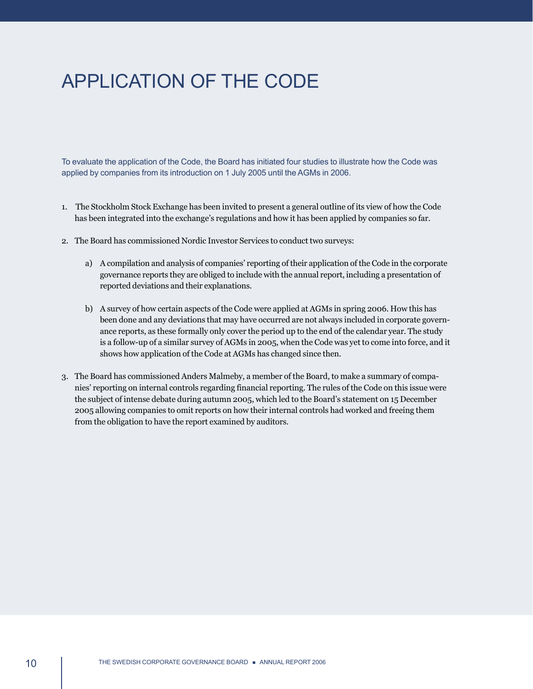# <span id="page-11-0"></span>APPLICATION OF THE CODE

To evaluate the application of the Code, the Board has initiated four studies to illustrate how the Code was applied by companies from its introduction on 1 July 2005 until the AGMs in 2006.

- 1. The Stockholm Stock Exchange has been invited to present a general outline of its view of how the Code has been integrated into the exchange's regulations and how it has been applied by companies so far.
- 2. The Board has commissioned Nordic Investor Services to conduct two surveys:
	- a) A compilation and analysis of companies' reporting of their application of the Code in the corporate governance reports they are obliged to include with the annual report, including a presentation of reported deviations and their explanations.
	- b) A survey of how certain aspects of the Code were applied at AGMs in spring 2006. How this has been done and any deviations that may have occurred are not always included in corporate governance reports, as these formally only cover the period up to the end of the calendar year. The study is a follow-up of a similar survey of AGMs in 2005, when the Code was yet to come into force, and it shows how application of the Code at AGMs has changed since then.
- 3. The Board has commissioned Anders Malmeby, a member of the Board, to make a summary of companies' reporting on internal controls regarding financial reporting. The rules of the Code on this issue were the subject of intense debate during autumn 2005, which led to the Board's statement on 15 December 2005 allowing companies to omit reports on how their internal controls had worked and freeing them from the obligation to have the report examined by auditors.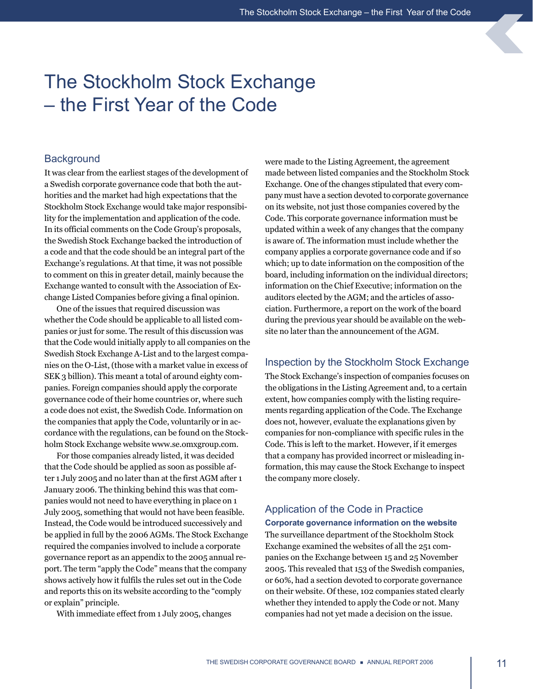# <span id="page-12-0"></span>The Stockholm Stock Exchange – the First Year of the Code

# **Background**

It was clear from the earliest stages of the development of a Swedish corporate governance code that both the authorities and the market had high expectations that the Stockholm Stock Exchange would take major responsibility for the implementation and application of the code. In its official comments on the Code Group's proposals, the Swedish Stock Exchange backed the introduction of a code and that the code should be an integral part of the Exchange's regulations. At that time, it was not possible to comment on this in greater detail, mainly because the Exchange wanted to consult with the Association of Exchange Listed Companies before giving a final opinion.

One of the issues that required discussion was whether the Code should be applicable to all listed companies or just for some. The result of this discussion was that the Code would initially apply to all companies on the Swedish Stock Exchange A-List and to the largest companies on the O-List, (those with a market value in excess of SEK 3 billion). This meant a total of around eighty companies. Foreign companies should apply the corporate governance code of their home countries or, where such a code does not exist, the Swedish Code. Information on the companies that apply the Code, voluntarily or in accordance with the regulations, can be found on the Stockholm Stock Exchange website www.se.omxgroup.com.

For those companies already listed, it was decided that the Code should be applied as soon as possible after 1 July 2005 and no later than at the first AGM after 1 January 2006. The thinking behind this was that companies would not need to have everything in place on 1 July 2005, something that would not have been feasible. Instead, the Code would be introduced successively and be applied in full by the 2006 AGMs. The Stock Exchange required the companies involved to include a corporate governance report as an appendix to the 2005 annual report. The term "apply the Code" means that the company shows actively how it fulfils the rules set out in the Code and reports this on its website according to the "comply or explain" principle.

With immediate effect from 1 July 2005, changes

were made to the Listing Agreement, the agreement made between listed companies and the Stockholm Stock Exchange. One of the changes stipulated that every company must have a section devoted to corporate governance on its website, not just those companies covered by the Code. This corporate governance information must be updated within a week of any changes that the company is aware of. The information must include whether the company applies a corporate governance code and if so which; up to date information on the composition of the board, including information on the individual directors; information on the Chief Executive; information on the auditors elected by the AGM; and the articles of association. Furthermore, a report on the work of the board during the previous year should be available on the website no later than the announcement of the AGM.

# Inspection by the Stockholm Stock Exchange

The Stock Exchange's inspection of companies focuses on the obligations in the Listing Agreement and, to a certain extent, how companies comply with the listing requirements regarding application of the Code. The Exchange does not, however, evaluate the explanations given by companies for non-compliance with specific rules in the Code. This is left to the market. However, if it emerges that a company has provided incorrect or misleading information, this may cause the Stock Exchange to inspect the company more closely.

# Application of the Code in Practice

# **Corporate governance information on the website**

The surveillance department of the Stockholm Stock Exchange examined the websites of all the 251 companies on the Exchange between 15 and 25 November 2005. This revealed that 153 of the Swedish companies, or 60%, had a section devoted to corporate governance on their website. Of these, 102 companies stated clearly whether they intended to apply the Code or not. Many companies had not yet made a decision on the issue.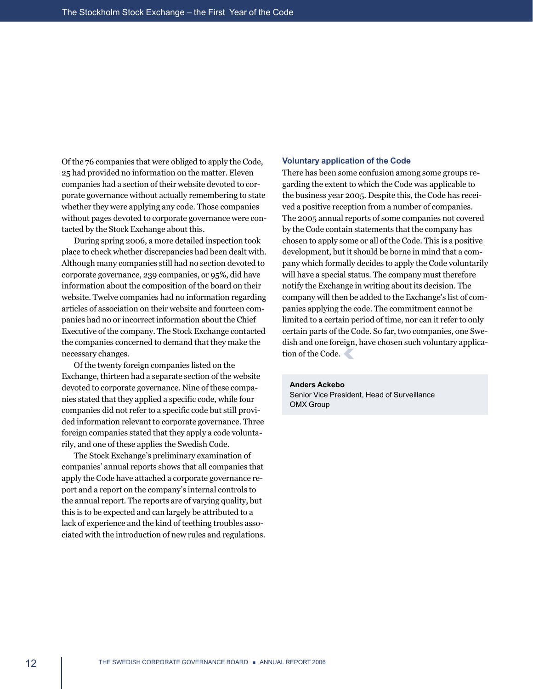Of the 76 companies that were obliged to apply the Code, 25 had provided no information on the matter. Eleven companies had a section of their website devoted to corporate governance without actually remembering to state whether they were applying any code. Those companies without pages devoted to corporate governance were contacted by the Stock Exchange about this.

During spring 2006, a more detailed inspection took place to check whether discrepancies had been dealt with. Although many companies still had no section devoted to corporate governance, 239 companies, or 95%, did have information about the composition of the board on their website. Twelve companies had no information regarding articles of association on their website and fourteen companies had no or incorrect information about the Chief Executive of the company. The Stock Exchange contacted the companies concerned to demand that they make the necessary changes.

Of the twenty foreign companies listed on the Exchange, thirteen had a separate section of the website devoted to corporate governance. Nine of these companies stated that they applied a specific code, while four companies did not refer to a specific code but still provided information relevant to corporate governance. Three foreign companies stated that they apply a code voluntarily, and one of these applies the Swedish Code.

The Stock Exchange's preliminary examination of companies' annual reports shows that all companies that apply the Code have attached a corporate governance report and a report on the company's internal controls to the annual report. The reports are of varying quality, but this is to be expected and can largely be attributed to a lack of experience and the kind of teething troubles associated with the introduction of new rules and regulations.

#### **Voluntary application of the Code**

There has been some confusion among some groups regarding the extent to which the Code was applicable to the business year 2005. Despite this, the Code has received a positive reception from a number of companies. The 2005 annual reports of some companies not covered by the Code contain statements that the company has chosen to apply some or all of the Code. This is a positive development, but it should be borne in mind that a company which formally decides to apply the Code voluntarily will have a special status. The company must therefore notify the Exchange in writing about its decision. The company will then be added to the Exchange's list of companies applying the code. The commitment cannot be limited to a certain period of time, nor can it refer to only certain parts of the Code. So far, two companies, one Swedish and one foreign, have chosen such voluntary application of the Code.

#### **Anders Ackebo**

Senior Vice President, Head of Surveillance OMX Group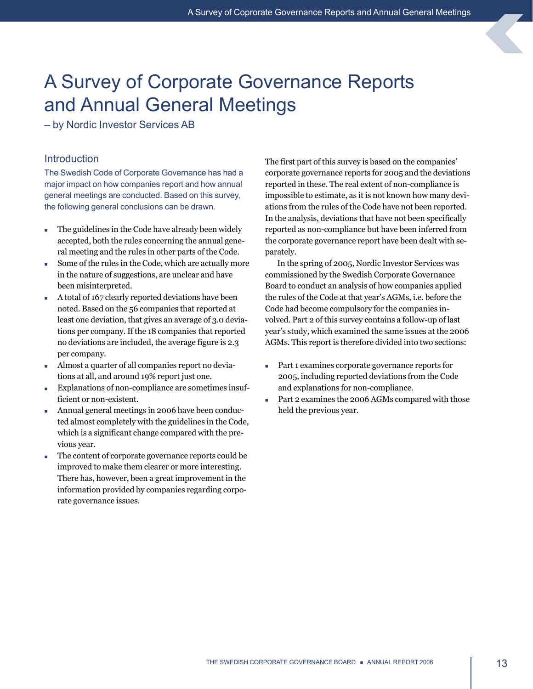# <span id="page-14-0"></span>A Survey of Corporate Governance Reports and Annual General Meetings

– by Nordic Investor Services AB

# **Introduction**

The Swedish Code of Corporate Governance has had a major impact on how companies report and how annual general meetings are conducted. Based on this survey, the following general conclusions can be drawn.

- $\blacksquare$  The guidelines in the Code have already been widely accepted, both the rules concerning the annual general meeting and the rules in other parts of the Code.
- Some of the rules in the Code, which are actually more in the nature of suggestions, are unclear and have been misinterpreted.
- $\blacksquare$  A total of 167 clearly reported deviations have been noted. Based on the 56 companies that reported at least one deviation, that gives an average of 3.0 deviations per company. If the 18 companies that reported no deviations are included, the average figure is 2.3 per company.
- <sup>n</sup> Almost a quarter of all companies report no deviations at all, and around 19% report just one.
- Explanations of non-compliance are sometimes insufficient or non-existent.
- <sup>n</sup> Annual general meetings in 2006 have been conducted almost completely with the guidelines in the Code, which is a significant change compared with the previous year.
- n The content of corporate governance reports could be improved to make them clearer or more interesting. There has, however, been a great improvement in the information provided by companies regarding corporate governance issues.

The first part of this survey is based on the companies' corporate governance reports for 2005 and the deviations reported in these. The real extent of non-compliance is impossible to estimate, as it is not known how many deviations from the rules of the Code have not been reported. In the analysis, deviations that have not been specifically reported as non-compliance but have been inferred from the corporate governance report have been dealt with separately.

In the spring of 2005, Nordic Investor Services was commissioned by the Swedish Corporate Governance Board to conduct an analysis of how companies applied the rules of the Code at that year's AGMs, i.e. before the Code had become compulsory for the companies involved. Part 2 of this survey contains a follow-up of last year's study, which examined the same issues at the 2006 AGMs. This report is therefore divided into two sections:

- n Part 1 examines corporate governance reports for 2005, including reported deviations from the Code and explanations for non-compliance.
- Part 2 examines the 2006 AGMs compared with those held the previous year.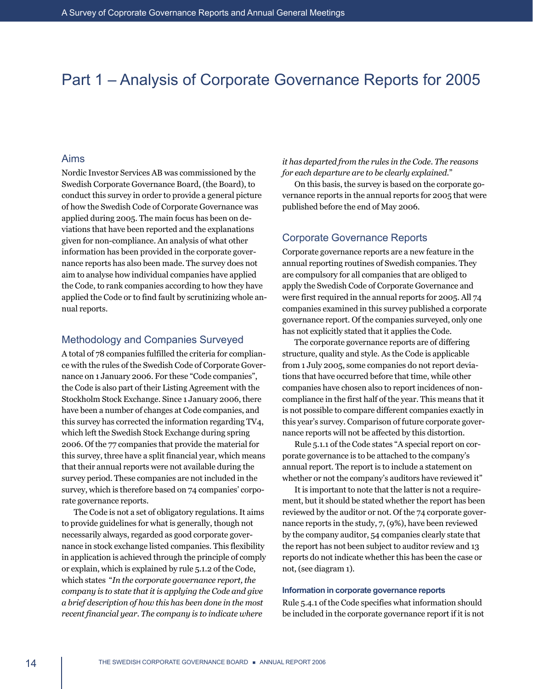# Part 1 – Analysis of Corporate Governance Reports for 2005

## Aims

Nordic Investor Services AB was commissioned by the Swedish Corporate Governance Board, (the Board), to conduct this survey in order to provide a general picture of how the Swedish Code of Corporate Governance was applied during 2005. The main focus has been on deviations that have been reported and the explanations given for non-compliance. An analysis of what other information has been provided in the corporate governance reports has also been made. The survey does not aim to analyse how individual companies have applied the Code, to rank companies according to how they have applied the Code or to find fault by scrutinizing whole annual reports.

# Methodology and Companies Surveyed

A total of 78 companies fulfilled the criteria for compliance with the rules of the Swedish Code of Corporate Governance on 1 January 2006. For these "Code companies", the Code is also part of their Listing Agreement with the Stockholm Stock Exchange. Since 1 January 2006, there have been a number of changes at Code companies, and this survey has corrected the information regarding TV4, which left the Swedish Stock Exchange during spring 2006. Of the 77 companies that provide the material for this survey, three have a split financial year, which means that their annual reports were not available during the survey period. These companies are not included in the survey, which is therefore based on 74 companies' corporate governance reports.

The Code is not a set of obligatory regulations. It aims to provide guidelines for what is generally, though not necessarily always, regarded as good corporate governance in stock exchange listed companies. This flexibility in application is achieved through the principle of comply or explain, which is explained by rule 5.1.2 of the Code, which states "*In the corporate governance report, the company is to state that it is applying the Code and give a brief description of how this has been done in the most recent financial year. The company is to indicate where* 

*it has departed from the rules in the Code. The reasons for each departure are to be clearly explained.*"

On this basis, the survey is based on the corporate governance reports in the annual reports for 2005 that were published before the end of May 2006.

### Corporate Governance Reports

Corporate governance reports are a new feature in the annual reporting routines of Swedish companies. They are compulsory for all companies that are obliged to apply the Swedish Code of Corporate Governance and were first required in the annual reports for 2005. All 74 companies examined in this survey published a corporate governance report. Of the companies surveyed, only one has not explicitly stated that it applies the Code.

The corporate governance reports are of differing structure, quality and style. As the Code is applicable from 1 July 2005, some companies do not report deviations that have occurred before that time, while other companies have chosen also to report incidences of noncompliance in the first half of the year. This means that it is not possible to compare different companies exactly in this year's survey. Comparison of future corporate governance reports will not be affected by this distortion.

Rule 5.1.1 of the Code states "A special report on corporate governance is to be attached to the company's annual report. The report is to include a statement on whether or not the company's auditors have reviewed it"

It is important to note that the latter is not a requirement, but it should be stated whether the report has been reviewed by the auditor or not. Of the 74 corporate governance reports in the study, 7, (9%), have been reviewed by the company auditor, 54 companies clearly state that the report has not been subject to auditor review and 13 reports do not indicate whether this has been the case or not, (see diagram 1).

#### **Information in corporate governance reports**

Rule 5.4.1 of the Code specifies what information should be included in the corporate governance report if it is not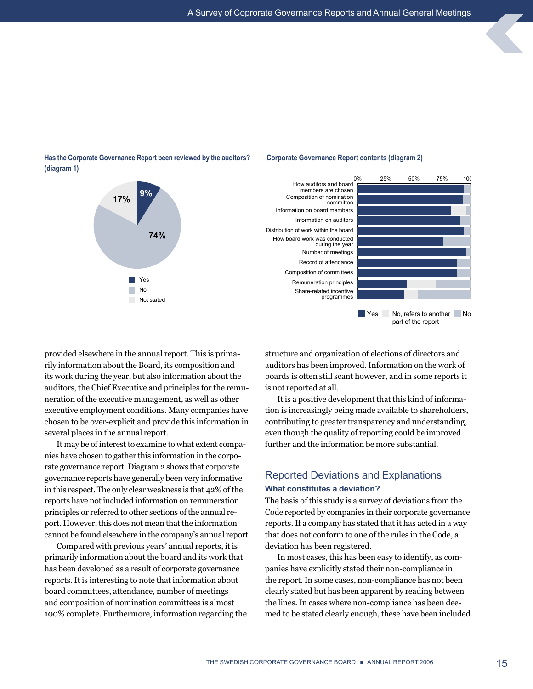**Corporate Governance Report contents (diagram 2)**



### Has the Corporate Governance Report been reviewed by the auditors? **(diagram 1)**

provided elsewhere in the annual report. This is primarily information about the Board, its composition and its work during the year, but also information about the auditors, the Chief Executive and principles for the remuneration of the executive management, as well as other executive employment conditions. Many companies have chosen to be over-explicit and provide this information in several places in the annual report.

It may be of interest to examine to what extent companies have chosen to gather this information in the corporate governance report. Diagram 2 shows that corporate governance reports have generally been very informative in this respect. The only clear weakness is that 42% of the reports have not included information on remuneration principles or referred to other sections of the annual report. However, this does not mean that the information cannot be found elsewhere in the company's annual report.

Compared with previous years' annual reports, it is primarily information about the board and its work that has been developed as a result of corporate governance reports. It is interesting to note that information about board committees, attendance, number of meetings and composition of nomination committees is almost 100% complete. Furthermore, information regarding the structure and organization of elections of directors and auditors has been improved. Information on the work of boards is often still scant however, and in some reports it is not reported at all.

part of the report

It is a positive development that this kind of information is increasingly being made available to shareholders, contributing to greater transparency and understanding, even though the quality of reporting could be improved further and the information be more substantial.

# Reported Deviations and Explanations **What constitutes a deviation?**

The basis of this study is a survey of deviations from the Code reported by companies in their corporate governance reports. If a company has stated that it has acted in a way that does not conform to one of the rules in the Code, a deviation has been registered.

In most cases, this has been easy to identify, as companies have explicitly stated their non-compliance in the report. In some cases, non-compliance has not been clearly stated but has been apparent by reading between the lines. In cases where non-compliance has been deemed to be stated clearly enough, these have been included

THE SWEDISH CORPORATE GOVERNANCE BOARD **a** ANNUAL REPORT 2006 15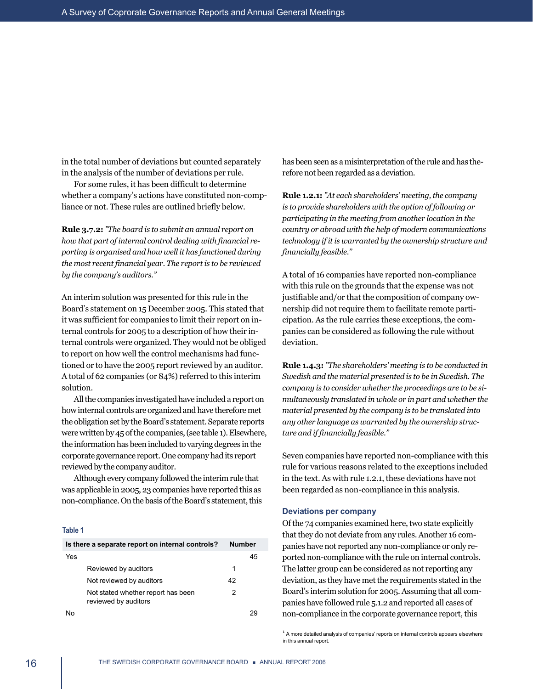in the total number of deviations but counted separately in the analysis of the number of deviations per rule.

For some rules, it has been difficult to determine whether a company's actions have constituted non-compliance or not. These rules are outlined briefly below.

**Rule 3.7.2:** *"The board is to submit an annual report on how that part of internal control dealing with financial reporting is organised and how well it has functioned during the most recent financial year. The report is to be reviewed by the company's auditors."*

An interim solution was presented for this rule in the Board's statement on 15 December 2005. This stated that it was sufficient for companies to limit their report on internal controls for 2005 to a description of how their internal controls were organized. They would not be obliged to report on how well the control mechanisms had functioned or to have the 2005 report reviewed by an auditor. A total of 62 companies (or 84%) referred to this interim solution.

All the companies investigated have included a report on how internal controls are organized and have therefore met the obligation set by the Board's statement. Separate reports were written by 45 of the companies, (see table 1). Elsewhere, the information has been included to varying degrees in the corporate governance report. One company had its report reviewed by the company auditor.

Although every company followed the interim rule that was applicable in 2005, 23 companies have reported this as non-compliance. On the basis of the Board's statement, this

#### **Table 1**

| Is there a separate report on internal controls?           | <b>Number</b> |    |
|------------------------------------------------------------|---------------|----|
| Yes                                                        |               | 45 |
| Reviewed by auditors                                       | 1             |    |
| Not reviewed by auditors                                   | 42            |    |
| Not stated whether report has been<br>reviewed by auditors | 2             |    |
|                                                            |               |    |

has been seen as a misinterpretation of the rule and has therefore not been regarded as a deviation.

**Rule 1.2.1:** *"At each shareholders' meeting, the company is to provide shareholders with the option of following or participating in the meeting from another location in the country or abroad with the help of modern communications technology if it is warranted by the ownership structure and financially feasible."*

A total of 16 companies have reported non-compliance with this rule on the grounds that the expense was not justifiable and/or that the composition of company ownership did not require them to facilitate remote participation. As the rule carries these exceptions, the companies can be considered as following the rule without deviation.

**Rule 1.4.3:** *"The shareholders' meeting is to be conducted in Swedish and the material presented is to be in Swedish. The company is to consider whether the proceedings are to be simultaneously translated in whole or in part and whether the material presented by the company is to be translated into any other language as warranted by the ownership structure and if financially feasible."*

Seven companies have reported non-compliance with this rule for various reasons related to the exceptions included in the text. As with rule 1.2.1, these deviations have not been regarded as non-compliance in this analysis.

#### **Deviations per company**

Of the 74 companies examined here, two state explicitly that they do not deviate from any rules. Another 16 companies have not reported any non-compliance or only reported non-compliance with the rule on internal controls. The latter group can be considered as not reporting any deviation, as they have met the requirements stated in the Board's interim solution for 2005. Assuming that all companies have followed rule 5.1.2 and reported all cases of non-compliance in the corporate governance report, this

 $<sup>1</sup>$  A more detailed analysis of companies' reports on internal controls appears elsewhere</sup> in this annual report.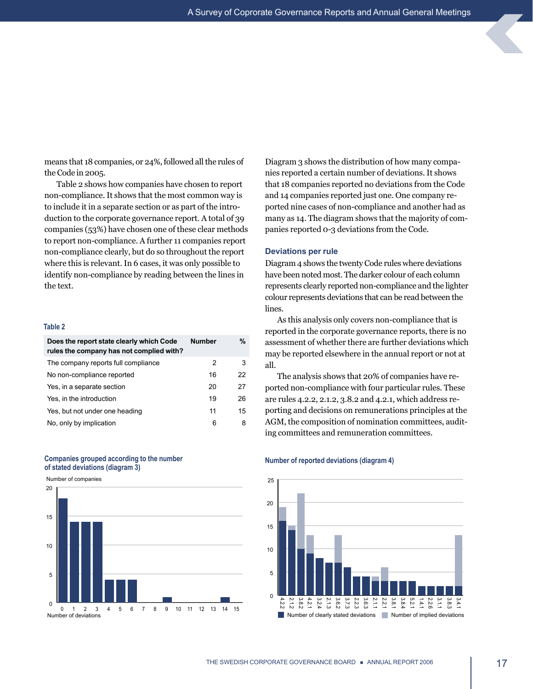means that 18 companies, or 24%, followed all the rules of the Code in 2005.

Table 2 shows how companies have chosen to report non-compliance. It shows that the most common way is to include it in a separate section or as part of the introduction to the corporate governance report. A total of 39 companies (53%) have chosen one of these clear methods to report non-compliance. A further 11 companies report non-compliance clearly, but do so throughout the report where this is relevant. In 6 cases, it was only possible to identify non-compliance by reading between the lines in the text.

#### **Table 2**

| Does the report state clearly which Code<br>rules the company has not complied with? | <b>Number</b> | %  |
|--------------------------------------------------------------------------------------|---------------|----|
| The company reports full compliance                                                  | 2             | 3  |
| No non-compliance reported                                                           | 16            | 22 |
| Yes, in a separate section                                                           | 20            | 27 |
| Yes, in the introduction                                                             | 19            | 26 |
| Yes, but not under one heading                                                       | 11            | 15 |
| No, only by implication                                                              | 6             | 8  |





Diagram 3 shows the distribution of how many companies reported a certain number of deviations. It shows that 18 companies reported no deviations from the Code and 14 companies reported just one. One company reported nine cases of non-compliance and another had as many as 14. The diagram shows that the majority of companies reported 0-3 deviations from the Code.

#### **Deviations per rule**

Diagram 4 shows the twenty Code rules where deviations have been noted most. The darker colour of each column represents clearly reported non-compliance and the lighter colour represents deviations that can be read between the lines.

As this analysis only covers non-compliance that is reported in the corporate governance reports, there is no assessment of whether there are further deviations which may be reported elsewhere in the annual report or not at all.

The analysis shows that 20% of companies have reported non-compliance with four particular rules. These are rules 4.2.2, 2.1.2, 3.8.2 and 4.2.1, which address reporting and decisions on remunerations principles at the AGM, the composition of nomination committees, auditing committees and remuneration committees.

# **Number of reported deviations (diagram 4)**

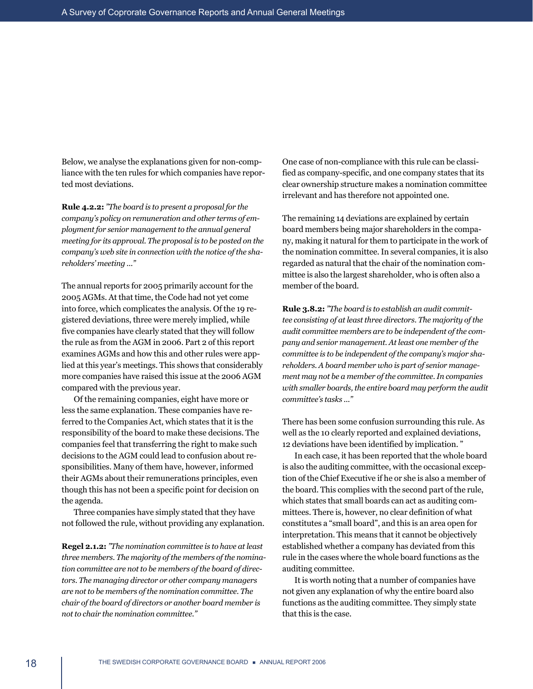Below, we analyse the explanations given for non-compliance with the ten rules for which companies have reported most deviations.

**Rule 4.2.2:** *"The board is to present a proposal for the company's policy on remuneration and other terms of employment for senior management to the annual general meeting for its approval. The proposal is to be posted on the company's web site in connection with the notice of the shareholders' meeting ..."*

The annual reports for 2005 primarily account for the 2005 AGMs. At that time, the Code had not yet come into force, which complicates the analysis. Of the 19 registered deviations, three were merely implied, while five companies have clearly stated that they will follow the rule as from the AGM in 2006. Part 2 of this report examines AGMs and how this and other rules were applied at this year's meetings. This shows that considerably more companies have raised this issue at the 2006 AGM compared with the previous year.

Of the remaining companies, eight have more or less the same explanation. These companies have referred to the Companies Act, which states that it is the responsibility of the board to make these decisions. The companies feel that transferring the right to make such decisions to the AGM could lead to confusion about responsibilities. Many of them have, however, informed their AGMs about their remunerations principles, even though this has not been a specific point for decision on the agenda.

Three companies have simply stated that they have not followed the rule, without providing any explanation.

**Regel 2.1.2:** *"The nomination committee is to have at least three members. The majority of the members of the nomination committee are not to be members of the board of directors. The managing director or other company managers are not to be members of the nomination committee. The chair of the board of directors or another board member is not to chair the nomination committee."*

One case of non-compliance with this rule can be classified as company-specific, and one company states that its clear ownership structure makes a nomination committee irrelevant and has therefore not appointed one.

The remaining 14 deviations are explained by certain board members being major shareholders in the company, making it natural for them to participate in the work of the nomination committee. In several companies, it is also regarded as natural that the chair of the nomination committee is also the largest shareholder, who is often also a member of the board.

**Rule 3.8.2:** *"The board is to establish an audit committee consisting of at least three directors. The majority of the audit committee members are to be independent of the company and senior management. At least one member of the committee is to be independent of the company's major shareholders. A board member who is part of senior management may not be a member of the committee. In companies with smaller boards, the entire board may perform the audit committee's tasks ..."*

There has been some confusion surrounding this rule. As well as the 10 clearly reported and explained deviations, 12 deviations have been identified by implication. "

In each case, it has been reported that the whole board is also the auditing committee, with the occasional exception of the Chief Executive if he or she is also a member of the board. This complies with the second part of the rule, which states that small boards can act as auditing committees. There is, however, no clear definition of what constitutes a "small board", and this is an area open for interpretation. This means that it cannot be objectively established whether a company has deviated from this rule in the cases where the whole board functions as the auditing committee.

It is worth noting that a number of companies have not given any explanation of why the entire board also functions as the auditing committee. They simply state that this is the case.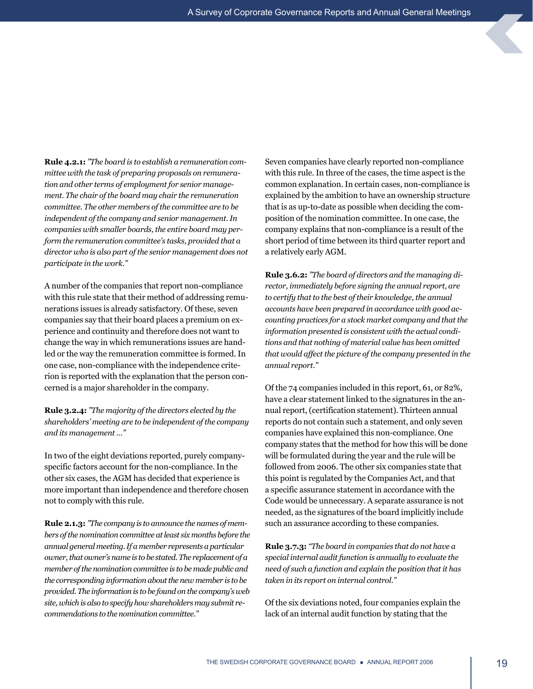**Rule 4.2.1:** *"The board is to establish a remuneration committee with the task of preparing proposals on remuneration and other terms of employment for senior management. The chair of the board may chair the remuneration committee. The other members of the committee are to be independent of the company and senior management. In companies with smaller boards, the entire board may perform the remuneration committee's tasks, provided that a director who is also part of the senior management does not participate in the work."*

A number of the companies that report non-compliance with this rule state that their method of addressing remunerations issues is already satisfactory. Of these, seven companies say that their board places a premium on experience and continuity and therefore does not want to change the way in which remunerations issues are handled or the way the remuneration committee is formed. In one case, non-compliance with the independence criterion is reported with the explanation that the person concerned is a major shareholder in the company.

**Rule 3.2.4:** *"The majority of the directors elected by the shareholders' meeting are to be independent of the company and its management …"*

In two of the eight deviations reported, purely companyspecific factors account for the non-compliance. In the other six cases, the AGM has decided that experience is more important than independence and therefore chosen not to comply with this rule.

**Rule 2.1.3:** *"The company is to announce the names of members of the nomination committee at least six months before the annual general meeting. If a member represents a particular owner, that owner's name is to be stated. The replacement of a member of the nomination committee is to be made public and the corresponding information about the new member is to be provided. The information is to be found on the company's web site, which is also to specify how shareholders may submit recommendations to the nomination committee."*

Seven companies have clearly reported non-compliance with this rule. In three of the cases, the time aspect is the common explanation. In certain cases, non-compliance is explained by the ambition to have an ownership structure that is as up-to-date as possible when deciding the composition of the nomination committee. In one case, the company explains that non-compliance is a result of the short period of time between its third quarter report and a relatively early AGM.

**Rule 3.6.2:** *"The board of directors and the managing director, immediately before signing the annual report, are to certify that to the best of their knowledge, the annual accounts have been prepared in accordance with good accounting practices for a stock market company and that the information presented is consistent with the actual conditions and that nothing of material value has been omitted that would affect the picture of the company presented in the annual report."*

Of the 74 companies included in this report, 61, or 82%, have a clear statement linked to the signatures in the annual report, (certification statement). Thirteen annual reports do not contain such a statement, and only seven companies have explained this non-compliance. One company states that the method for how this will be done will be formulated during the year and the rule will be followed from 2006. The other six companies state that this point is regulated by the Companies Act, and that a specific assurance statement in accordance with the Code would be unnecessary. A separate assurance is not needed, as the signatures of the board implicitly include such an assurance according to these companies.

**Rule 3.7.3:** *"The board in companies that do not have a special internal audit function is annually to evaluate the need of such a function and explain the position that it has taken in its report on internal control."*

Of the six deviations noted, four companies explain the lack of an internal audit function by stating that the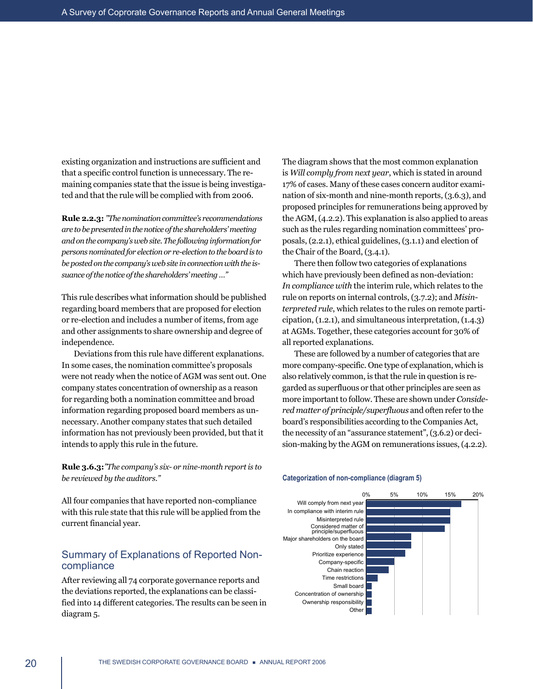existing organization and instructions are sufficient and that a specific control function is unnecessary. The remaining companies state that the issue is being investigated and that the rule will be complied with from 2006.

**Rule 2.2.3:** *"The nomination committee's recommendations are to be presented in the notice of the shareholders' meeting and on the company's web site. The following information for persons nominated for election or re-election to the board is to be posted on the company's web site in connection with the issuance of the notice of the shareholders' meeting …"*

This rule describes what information should be published regarding board members that are proposed for election or re-election and includes a number of items, from age and other assignments to share ownership and degree of independence.

Deviations from this rule have different explanations. In some cases, the nomination committee's proposals were not ready when the notice of AGM was sent out. One company states concentration of ownership as a reason for regarding both a nomination committee and broad information regarding proposed board members as unnecessary. Another company states that such detailed information has not previously been provided, but that it intends to apply this rule in the future.

**Rule 3.6.3:***"The company's six- or nine-month report is to be reviewed by the auditors."*

All four companies that have reported non-compliance with this rule state that this rule will be applied from the current financial year.

# Summary of Explanations of Reported Noncompliance

After reviewing all 74 corporate governance reports and the deviations reported, the explanations can be classified into 14 different categories. The results can be seen in diagram 5.

The diagram shows that the most common explanation is *Will comply from next year*, which is stated in around 17% of cases. Many of these cases concern auditor examination of six-month and nine-month reports, (3.6.3), and proposed principles for remunerations being approved by the AGM, (4.2.2). This explanation is also applied to areas such as the rules regarding nomination committees' proposals, (2.2.1), ethical guidelines, (3.1.1) and election of the Chair of the Board, (3.4.1).

There then follow two categories of explanations which have previously been defined as non-deviation: *In compliance with* the interim rule, which relates to the rule on reports on internal controls, (3.7.2); and *Misinterpreted rule*, which relates to the rules on remote participation, (1.2.1), and simultaneous interpretation, (1.4.3) at AGMs. Together, these categories account for 30% of all reported explanations.

These are followed by a number of categories that are more company-specific. One type of explanation, which is also relatively common, is that the rule in question is regarded as superfluous or that other principles are seen as more important to follow. These are shown under *Considered matter of principle/superfluous* and often refer to the board's responsibilities according to the Companies Act, the necessity of an "assurance statement", (3.6.2) or decision-making by the AGM on remunerations issues, (4.2.2).



#### **Categorization of non-compliance (diagram 5)**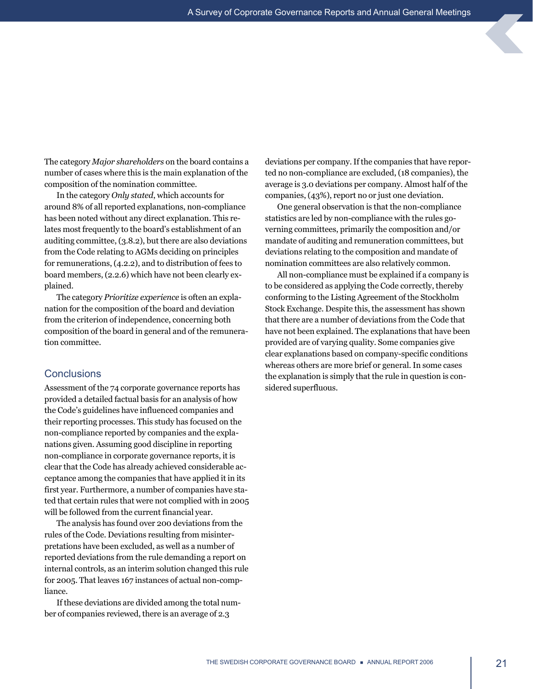The category *Major shareholders* on the board contains a number of cases where this is the main explanation of the composition of the nomination committee.

In the category *Only stated*, which accounts for around 8% of all reported explanations, non-compliance has been noted without any direct explanation. This relates most frequently to the board's establishment of an auditing committee, (3.8.2), but there are also deviations from the Code relating to AGMs deciding on principles for remunerations, (4.2.2), and to distribution of fees to board members, (2.2.6) which have not been clearly explained.

The category *Prioritize experience* is often an explanation for the composition of the board and deviation from the criterion of independence, concerning both composition of the board in general and of the remuneration committee.

# **Conclusions**

Assessment of the 74 corporate governance reports has provided a detailed factual basis for an analysis of how the Code's guidelines have influenced companies and their reporting processes. This study has focused on the non-compliance reported by companies and the explanations given. Assuming good discipline in reporting non-compliance in corporate governance reports, it is clear that the Code has already achieved considerable acceptance among the companies that have applied it in its first year. Furthermore, a number of companies have stated that certain rules that were not complied with in 2005 will be followed from the current financial year.

The analysis has found over 200 deviations from the rules of the Code. Deviations resulting from misinterpretations have been excluded, as well as a number of reported deviations from the rule demanding a report on internal controls, as an interim solution changed this rule for 2005. That leaves 167 instances of actual non-compliance.

If these deviations are divided among the total number of companies reviewed, there is an average of 2.3

deviations per company. If the companies that have reported no non-compliance are excluded, (18 companies), the average is 3.0 deviations per company. Almost half of the companies, (43%), report no or just one deviation.

One general observation is that the non-compliance statistics are led by non-compliance with the rules governing committees, primarily the composition and/or mandate of auditing and remuneration committees, but deviations relating to the composition and mandate of nomination committees are also relatively common.

All non-compliance must be explained if a company is to be considered as applying the Code correctly, thereby conforming to the Listing Agreement of the Stockholm Stock Exchange. Despite this, the assessment has shown that there are a number of deviations from the Code that have not been explained. The explanations that have been provided are of varying quality. Some companies give clear explanations based on company-specific conditions whereas others are more brief or general. In some cases the explanation is simply that the rule in question is considered superfluous.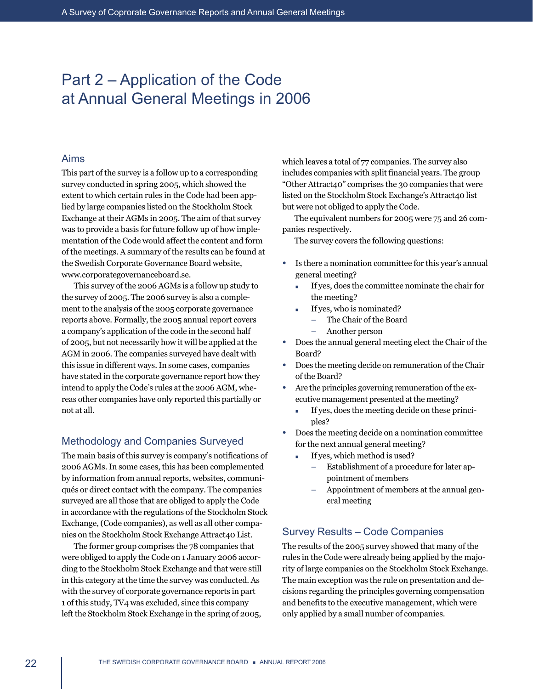# Part 2 – Application of the Code at Annual General Meetings in 2006

# Aims

This part of the survey is a follow up to a corresponding survey conducted in spring 2005, which showed the extent to which certain rules in the Code had been applied by large companies listed on the Stockholm Stock Exchange at their AGMs in 2005. The aim of that survey was to provide a basis for future follow up of how implementation of the Code would affect the content and form of the meetings. A summary of the results can be found at the Swedish Corporate Governance Board website, www.corporategovernanceboard.se.

This survey of the 2006 AGMs is a follow up study to the survey of 2005. The 2006 survey is also a complement to the analysis of the 2005 corporate governance reports above. Formally, the 2005 annual report covers a company's application of the code in the second half of 2005, but not necessarily how it will be applied at the AGM in 2006. The companies surveyed have dealt with this issue in different ways. In some cases, companies have stated in the corporate governance report how they intend to apply the Code's rules at the 2006 AGM, whereas other companies have only reported this partially or not at all.

# Methodology and Companies Surveyed

The main basis of this survey is company's notifications of 2006 AGMs. In some cases, this has been complemented by information from annual reports, websites, communiqués or direct contact with the company. The companies surveyed are all those that are obliged to apply the Code in accordance with the regulations of the Stockholm Stock Exchange, (Code companies), as well as all other companies on the Stockholm Stock Exchange Attract40 List.

The former group comprises the 78 companies that were obliged to apply the Code on 1 January 2006 according to the Stockholm Stock Exchange and that were still in this category at the time the survey was conducted. As with the survey of corporate governance reports in part 1 of this study, TV4 was excluded, since this company left the Stockholm Stock Exchange in the spring of 2005,

which leaves a total of 77 companies. The survey also includes companies with split financial years. The group "Other Attract40" comprises the 30 companies that were listed on the Stockholm Stock Exchange's Attract40 list but were not obliged to apply the Code.

The equivalent numbers for 2005 were 75 and 26 companies respectively.

The survey covers the following questions:

- Is there a nomination committee for this year's annual general meeting?
	- If yes, does the committee nominate the chair for the meeting?
	- $\blacksquare$  If yes, who is nominated?
		- The Chair of the Board
		- Another person
- Does the annual general meeting elect the Chair of the Board?
- Does the meeting decide on remuneration of the Chair of the Board?
- Are the principles governing remuneration of the executive management presented at the meeting?
	- <sup>n</sup> If yes, does the meeting decide on these principles?
- Does the meeting decide on a nomination committee for the next annual general meeting?
	- **n** If yes, which method is used?
		- Establishment of a procedure for later appointment of members
		- Appointment of members at the annual general meeting

# Survey Results – Code Companies

The results of the 2005 survey showed that many of the rules in the Code were already being applied by the majority of large companies on the Stockholm Stock Exchange. The main exception was the rule on presentation and decisions regarding the principles governing compensation and benefits to the executive management, which were only applied by a small number of companies.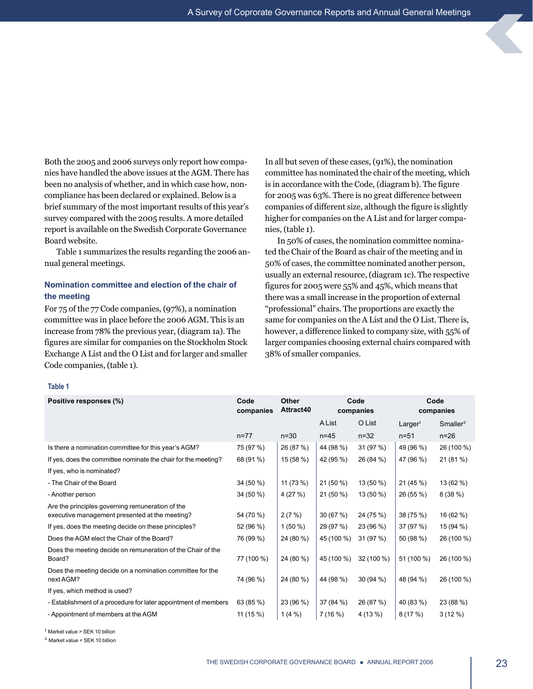Both the 2005 and 2006 surveys only report how companies have handled the above issues at the AGM. There has been no analysis of whether, and in which case how, noncompliance has been declared or explained. Below is a brief summary of the most important results of this year's survey compared with the 2005 results. A more detailed report is available on the Swedish Corporate Governance Board website.

Table 1 summarizes the results regarding the 2006 annual general meetings.

# **Nomination committee and election of the chair of the meeting**

For 75 of the 77 Code companies, (97%), a nomination committee was in place before the 2006 AGM. This is an increase from 78% the previous year, (diagram 1a). The figures are similar for companies on the Stockholm Stock Exchange A List and the O List and for larger and smaller Code companies, (table 1).

In all but seven of these cases, (91%), the nomination committee has nominated the chair of the meeting, which is in accordance with the Code, (diagram b). The figure for 2005 was 63%. There is no great difference between companies of different size, although the figure is slightly higher for companies on the A List and for larger companies, (table 1).

In 50% of cases, the nomination committee nominated the Chair of the Board as chair of the meeting and in 50% of cases, the committee nominated another person, usually an external resource, (diagram 1c). The respective figures for 2005 were 55% and 45%, which means that there was a small increase in the proportion of external "professional" chairs. The proportions are exactly the same for companies on the A List and the O List. There is, however, a difference linked to company size, with 55% of larger companies choosing external chairs compared with 38% of smaller companies.

#### **Table 1**

| Positive responses (%)                                                                             | Code<br>companies | Other<br>Attract40 | Code<br>companies |            | Code<br>companies   |                      |  |
|----------------------------------------------------------------------------------------------------|-------------------|--------------------|-------------------|------------|---------------------|----------------------|--|
|                                                                                                    |                   |                    | <b>A List</b>     | O List     | Larger <sup>1</sup> | Smaller <sup>2</sup> |  |
|                                                                                                    | $n = 77$          | $n=30$             | $n=45$            | $n = 32$   | $n = 51$            | $n=26$               |  |
| Is there a nomination committee for this year's AGM?                                               | 75 (97 %)         | 26 (87 %)          | 44 (98 %)         | 31 (97 %)  | 49 (96 %)           | 26 (100 %)           |  |
| If yes, does the committee nominate the chair for the meeting?                                     | 68 (91 %)         | 15 (58 %)          | 42 (95 %)         | 26 (84 %)  | 47 (96 %)           | 21(81%)              |  |
| If yes, who is nominated?                                                                          |                   |                    |                   |            |                     |                      |  |
| - The Chair of the Board                                                                           | 34 (50 %)         | 11 (73 %)          | 21 (50 %)         | 13 (50 %)  | 21 (45 %)           | 13 (62 %)            |  |
| - Another person                                                                                   | 34 (50 %)         | 4(27%)             | 21 (50 %)         | 13 (50 %)  | 26 (55 %)           | 8(38%)               |  |
| Are the principles governing remuneration of the<br>executive management presented at the meeting? | 54 (70 %)         | 2(7%)              | 30(67%)           | 24 (75 %)  | 38 (75 %)           | 16 (62 %)            |  |
| If yes, does the meeting decide on these principles?                                               | 52 (96 %)         | $1(50\%)$          | 29 (97 %)         | 23 (96 %)  | 37 (97 %)           | 15 (94 %)            |  |
| Does the AGM elect the Chair of the Board?                                                         | 76 (99 %)         | 24 (80 %)          | 45 (100 %)        | 31 (97 %)  | 50 (98 %)           | 26 (100 %)           |  |
| Does the meeting decide on remuneration of the Chair of the<br>Board?                              | 77 (100 %)        | 24 (80 %)          | 45 (100 %)        | 32 (100 %) | 51 (100 %)          | 26 (100 %)           |  |
| Does the meeting decide on a nomination committee for the<br>next AGM?                             | 74 (96 %)         | 24 (80 %)          | 44 (98 %)         | 30(94%)    | 48 (94 %)           | 26 (100 %)           |  |
| If yes, which method is used?                                                                      |                   |                    |                   |            |                     |                      |  |
| - Establishment of a procedure for later appointment of members                                    | 63 (85 %)         | 23 (96 %)          | 37 (84 %)         | 26 (87 %)  | 40 (83 %)           | 23 (88 %)            |  |
| - Appointment of members at the AGM                                                                | 11 (15 %)         | $1(4\%)$           | 7 (16 %)          | 4 (13 %)   | 8(17%)              | $3(12\%)$            |  |

<sup>1</sup> Market value > SEK 10 billion

<sup>2</sup> Market value < SEK 10 billion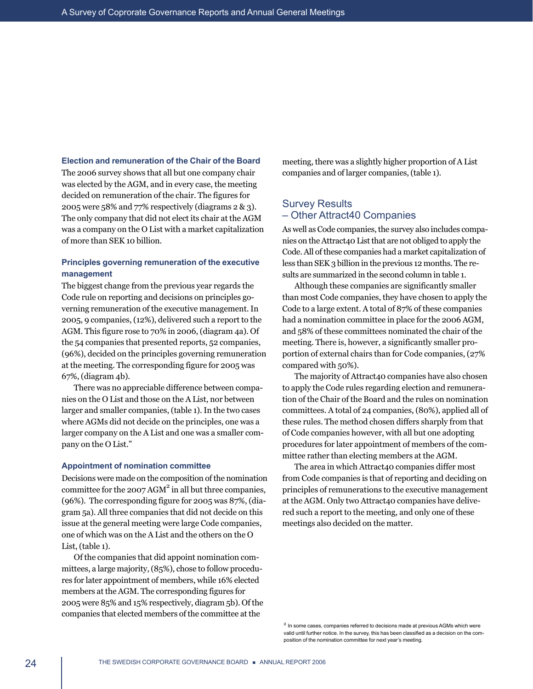#### **Election and remuneration of the Chair of the Board**

The 2006 survey shows that all but one company chair was elected by the AGM, and in every case, the meeting decided on remuneration of the chair. The figures for 2005 were 58% and 77% respectively (diagrams 2 & 3). The only company that did not elect its chair at the AGM was a company on the O List with a market capitalization of more than SEK 10 billion.

# **Principles governing remuneration of the executive management**

The biggest change from the previous year regards the Code rule on reporting and decisions on principles governing remuneration of the executive management. In 2005, 9 companies, (12%), delivered such a report to the AGM. This figure rose to 70% in 2006, (diagram 4a). Of the 54 companies that presented reports, 52 companies, (96%), decided on the principles governing remuneration at the meeting. The corresponding figure for 2005 was 67%, (diagram 4b).

There was no appreciable difference between companies on the O List and those on the A List, nor between larger and smaller companies, (table 1). In the two cases where AGMs did not decide on the principles, one was a larger company on the A List and one was a smaller company on the O List."

#### **Appointment of nomination committee**

Decisions were made on the composition of the nomination committee for the  $2007 AGM<sup>2</sup>$  in all but three companies, (96%). The corresponding figure for 2005 was 87%, (diagram 5a). All three companies that did not decide on this issue at the general meeting were large Code companies, one of which was on the A List and the others on the O List, (table 1).

Of the companies that did appoint nomination committees, a large majority, (85%), chose to follow procedures for later appointment of members, while 16% elected members at the AGM. The corresponding figures for 2005 were 85% and 15% respectively, diagram 5b). Of the companies that elected members of the committee at the

meeting, there was a slightly higher proportion of A List companies and of larger companies, (table 1).

# Survey Results – Other Attract40 Companies

As well as Code companies, the survey also includes companies on the Attract40 List that are not obliged to apply the Code. All of these companies had a market capitalization of less than SEK 3 billion in the previous 12 months. The results are summarized in the second column in table 1.

Although these companies are significantly smaller than most Code companies, they have chosen to apply the Code to a large extent. A total of 87% of these companies had a nomination committee in place for the 2006 AGM, and 58% of these committees nominated the chair of the meeting. There is, however, a significantly smaller proportion of external chairs than for Code companies, (27% compared with 50%).

The majority of Attract40 companies have also chosen to apply the Code rules regarding election and remuneration of the Chair of the Board and the rules on nomination committees. A total of 24 companies, (80%), applied all of these rules. The method chosen differs sharply from that of Code companies however, with all but one adopting procedures for later appointment of members of the committee rather than electing members at the AGM.

The area in which Attract40 companies differ most from Code companies is that of reporting and deciding on principles of remunerations to the executive management at the AGM. Only two Attract40 companies have delivered such a report to the meeting, and only one of these meetings also decided on the matter.

<sup>&</sup>lt;sup>2</sup> In some cases, companies referred to decisions made at previous AGMs which were valid until further notice. In the survey, this has been classified as a decision on the composition of the nomination committee for next year's meeting.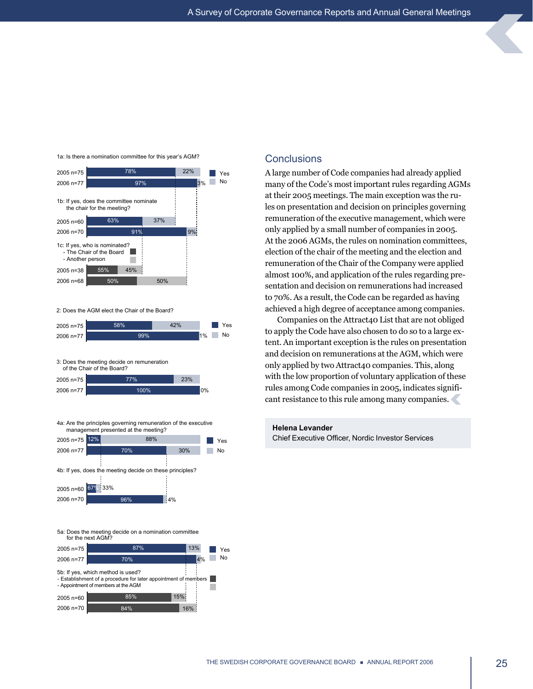

84% 16%

2006 n=70

#### 1a: Is there a nomination committee for this year's AGM?

at their 2005 meetings. The main exception was the rules on presentation and decision on principles governing remuneration of the executive management, which were only applied by a small number of companies in 2005. At the 2006 AGMs, the rules on nomination committees, election of the chair of the meeting and the election and remuneration of the Chair of the Company were applied almost 100%, and application of the rules regarding presentation and decision on remunerations had increased to 70%. As a result, the Code can be regarded as having achieved a high degree of acceptance among companies.

A large number of Code companies had already applied many of the Code's most important rules regarding AGMs

Companies on the Attract40 List that are not obliged to apply the Code have also chosen to do so to a large extent. An important exception is the rules on presentation and decision on remunerations at the AGM, which were only applied by two Attract40 companies. This, along with the low proportion of voluntary application of these rules among Code companies in 2005, indicates significant resistance to this rule among many companies.

#### **Helena Levander**

**Conclusions** 

Chief Executive Officer, Nordic Investor Services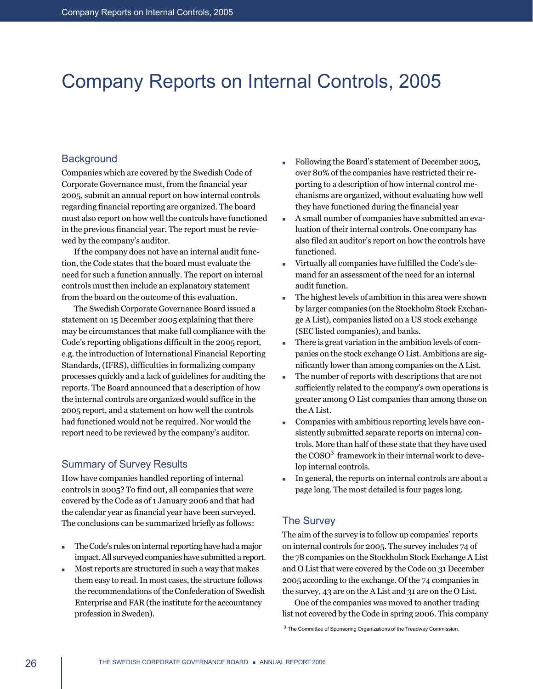# <span id="page-27-0"></span>Company Reports on Internal Controls, 2005

# **Background**

Companies which are covered by the Swedish Code of Corporate Governance must, from the financial year 2005, submit an annual report on how internal controls regarding financial reporting are organized. The board must also report on how well the controls have functioned in the previous financial year. The report must be reviewed by the company's auditor.

If the company does not have an internal audit function, the Code states that the board must evaluate the need for such a function annually. The report on internal controls must then include an explanatory statement from the board on the outcome of this evaluation.

The Swedish Corporate Governance Board issued a statement on 15 December 2005 explaining that there may be circumstances that make full compliance with the Code's reporting obligations difficult in the 2005 report, e.g. the introduction of International Financial Reporting Standards, (IFRS), difficulties in formalizing company processes quickly and a lack of guidelines for auditing the reports. The Board announced that a description of how the internal controls are organized would suffice in the 2005 report, and a statement on how well the controls had functioned would not be required. Nor would the report need to be reviewed by the company's auditor.

# Summary of Survey Results

How have companies handled reporting of internal controls in 2005? To find out, all companies that were covered by the Code as of 1 January 2006 and that had the calendar year as financial year have been surveyed. The conclusions can be summarized briefly as follows:

- $\blacksquare$  The Code's rules on internal reporting have had a major impact. All surveyed companies have submitted a report.
- <sup>n</sup> Most reports are structured in such a way that makes them easy to read. In most cases, the structure follows the recommendations of the Confederation of Swedish Enterprise and FAR (the institute for the accountancy profession in Sweden).
- Following the Board's statement of December 2005, over 80% of the companies have restricted their reporting to a description of how internal control mechanisms are organized, without evaluating how well they have functioned during the financial year
- <sup>n</sup> A small number of companies have submitted an evaluation of their internal controls. One company has also filed an auditor's report on how the controls have functioned.
- Virtually all companies have fulfilled the Code's demand for an assessment of the need for an internal audit function.
- The highest levels of ambition in this area were shown by larger companies (on the Stockholm Stock Exchange A List), companies listed on a US stock exchange (SEC listed companies), and banks.
- There is great variation in the ambition levels of companies on the stock exchange O List. Ambitions are significantly lower than among companies on the A List.
- The number of reports with descriptions that are not sufficiently related to the company's own operations is greater among O List companies than among those on the A List.
- <sup>n</sup> Companies with ambitious reporting levels have consistently submitted separate reports on internal controls. More than half of these state that they have used the COSO<sup>3</sup> framework in their internal work to develop internal controls.
- <sup>n</sup> In general, the reports on internal controls are about a page long. The most detailed is four pages long.

# The Survey

The aim of the survey is to follow up companies' reports on internal controls for 2005. The survey includes 74 of the 78 companies on the Stockholm Stock Exchange A List and O List that were covered by the Code on 31 December 2005 according to the exchange. Of the 74 companies in the survey, 43 are on the A List and 31 are on the O List.

One of the companies was moved to another trading list not covered by the Code in spring 2006. This company

<sup>3</sup> The Committee of Sponsoring Organizations of the Treadway Commission.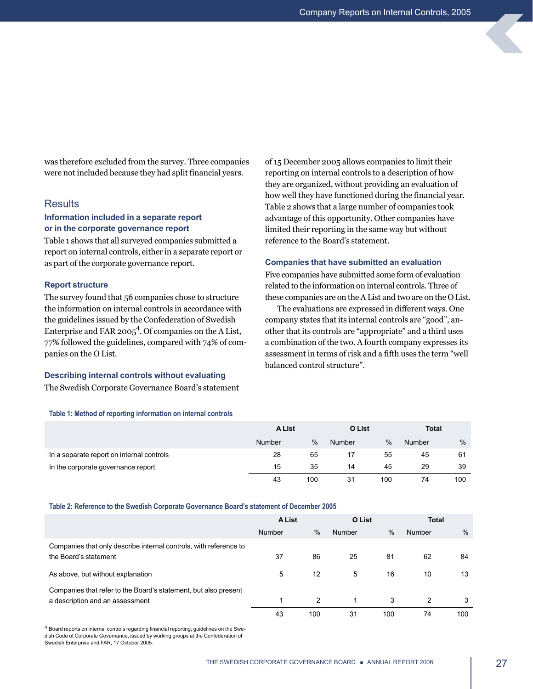was therefore excluded from the survey. Three companies were not included because they had split financial years.

### **Results**

### **Information included in a separate report or in the corporate governance report**

Table 1 shows that all surveyed companies submitted a report on internal controls, either in a separate report or as part of the corporate governance report.

#### **Report structure**

The survey found that 56 companies chose to structure the information on internal controls in accordance with the guidelines issued by the Confederation of Swedish Enterprise and FAR 2005<sup>4</sup>. Of companies on the A List, 77% followed the guidelines, compared with 74% of companies on the O List.

#### **Describing internal controls without evaluating**

The Swedish Corporate Governance Board's statement

**Table 1: Method of reporting information on internal controls**

of 15 December 2005 allows companies to limit their reporting on internal controls to a description of how they are organized, without providing an evaluation of how well they have functioned during the financial year. Table 2 shows that a large number of companies took advantage of this opportunity. Other companies have limited their reporting in the same way but without reference to the Board's statement.

#### **Companies that have submitted an evaluation**

Five companies have submitted some form of evaluation related to the information on internal controls. Three of these companies are on the A List and two are on the O List.

The evaluations are expressed in different ways. One company states that its internal controls are "good", another that its controls are "appropriate" and a third uses a combination of the two. A fourth company expresses its assessment in terms of risk and a fifth uses the term "well balanced control structure".

|                                           | <b>A List</b> |               | O List |      | <b>Total</b> |     |
|-------------------------------------------|---------------|---------------|--------|------|--------------|-----|
|                                           | Number        | $\frac{0}{0}$ | Number | $\%$ | Number       | %   |
| In a separate report on internal controls | 28            | 65            |        | 55   | 45           | 61  |
| In the corporate governance report        | 15            | 35            | 14     | 45   | 29           | 39  |
|                                           | 43            | 100           | 31     | 100  | 74           | 100 |

**Table 2: Reference to the Swedish Corporate Governance Board's statement of December 2005**

|                                                                                                    | <b>A List</b> |               | O List |      | <b>Total</b>  |      |
|----------------------------------------------------------------------------------------------------|---------------|---------------|--------|------|---------------|------|
|                                                                                                    | Number        | $\%$          | Number | $\%$ | Number        | $\%$ |
| Companies that only describe internal controls, with reference to<br>the Board's statement         | 37            | 86            | 25     | 81   | 62            | 84   |
| As above, but without explanation                                                                  | 5             | 12            | 5      | 16   | 10            | 13   |
| Companies that refer to the Board's statement, but also present<br>a description and an assessment |               | $\mathcal{P}$ | 1      | 3    | $\mathcal{P}$ | 3    |
|                                                                                                    | 43            | 100           | 31     | 100  | 74            | 100  |

<sup>4</sup> Board reports on internal controls regarding financial reporting, guidelines on the Swedish Code of Corporate Governance, issued by working groups at the Confederation of Swedish Enterprise and FAR, 17 October 2005.